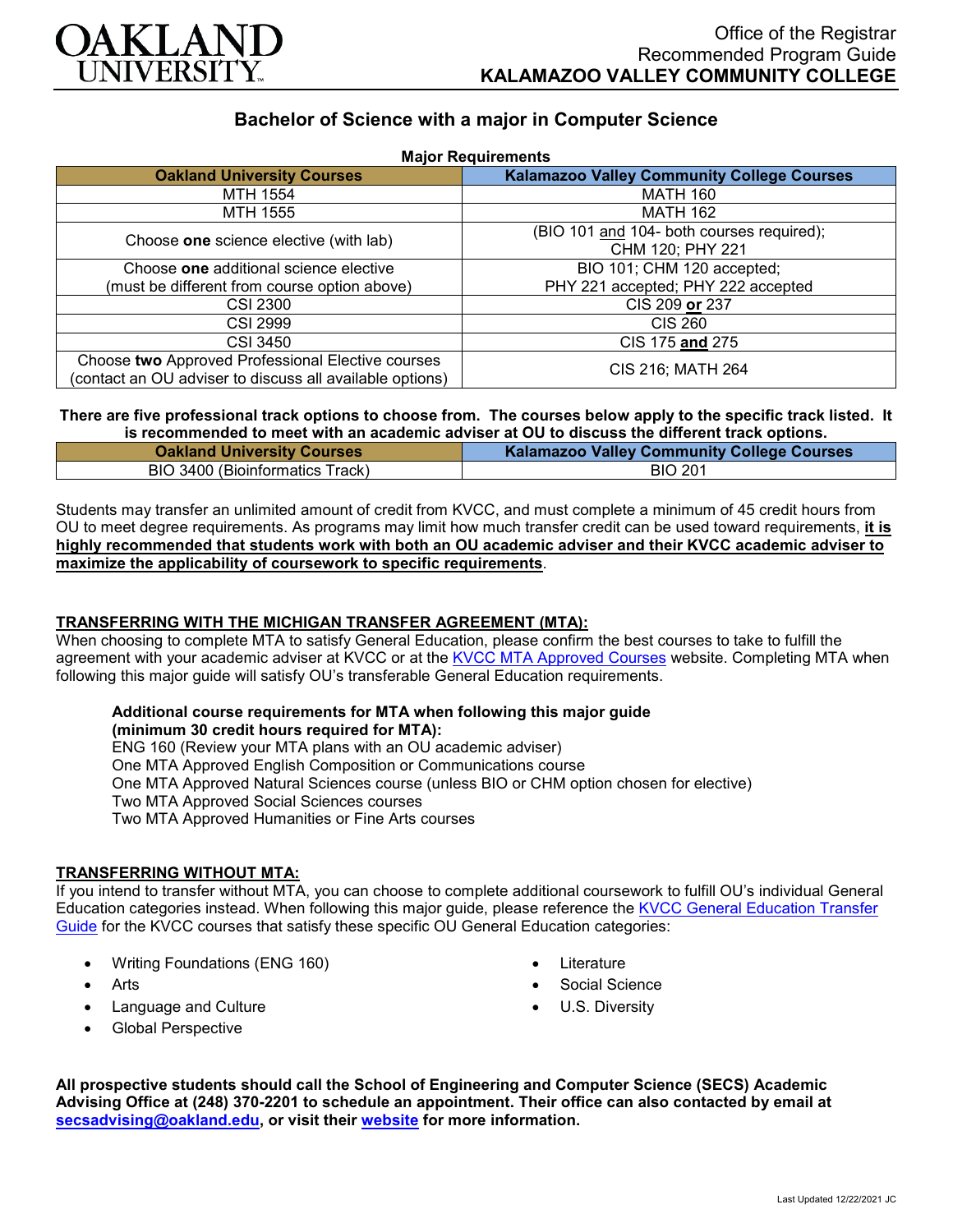

# **Bachelor of Science with a major in Computer Science**

| <b>Major Requirements</b>                                |                                                   |
|----------------------------------------------------------|---------------------------------------------------|
| <b>Oakland University Courses</b>                        | <b>Kalamazoo Valley Community College Courses</b> |
| MTH 1554                                                 | <b>MATH 160</b>                                   |
| MTH 1555                                                 | <b>MATH 162</b>                                   |
| Choose one science elective (with lab)                   | (BIO 101 and 104- both courses required);         |
|                                                          | CHM 120; PHY 221                                  |
| Choose one additional science elective                   | BIO 101; CHM 120 accepted;                        |
| (must be different from course option above)             | PHY 221 accepted; PHY 222 accepted                |
| <b>CSI 2300</b>                                          | CIS 209 or 237                                    |
| <b>CSI 2999</b>                                          | <b>CIS 260</b>                                    |
| <b>CSI 3450</b>                                          | CIS 175 and 275                                   |
| Choose two Approved Professional Elective courses        | CIS 216; MATH 264                                 |
| (contact an OU adviser to discuss all available options) |                                                   |

#### **There are five professional track options to choose from. The courses below apply to the specific track listed. It is recommended to meet with an academic adviser at OU to discuss the different track options.**

| is recommended to meet with an academic adviser at OU to discuss the different track options. |                                                   |
|-----------------------------------------------------------------------------------------------|---------------------------------------------------|
| <b>Oakland University Courses</b>                                                             | <b>Kalamazoo Valley Community College Courses</b> |
| BIO 3400 (Bioinformatics Track)                                                               | <b>BIO 201</b>                                    |

Students may transfer an unlimited amount of credit from KVCC, and must complete a minimum of 45 credit hours from OU to meet degree requirements. As programs may limit how much transfer credit can be used toward requirements, **it is highly recommended that students work with both an OU academic adviser and their KVCC academic adviser to maximize the applicability of coursework to specific requirements**.

# **TRANSFERRING WITH THE MICHIGAN TRANSFER AGREEMENT (MTA):**

When choosing to complete MTA to satisfy General Education, please confirm the best courses to take to fulfill the agreement with your academic adviser at KVCC or at the [KVCC MTA Approved Courses](https://www.kvcc.edu/programs/mta.php) website. Completing MTA when following this major guide will satisfy OU's transferable General Education requirements.

## **Additional course requirements for MTA when following this major guide**

**(minimum 30 credit hours required for MTA):**

ENG 160 (Review your MTA plans with an OU academic adviser)

One MTA Approved English Composition or Communications course

One MTA Approved Natural Sciences course (unless BIO or CHM option chosen for elective)

Two MTA Approved Social Sciences courses

Two MTA Approved Humanities or Fine Arts courses

## **TRANSFERRING WITHOUT MTA:**

If you intend to transfer without MTA, you can choose to complete additional coursework to fulfill OU's individual General Education categories instead. When following this major guide, please reference the [KVCC General Education Transfer](https://www.oakland.edu/Assets/Oakland/program-guides/kalamazoo-valley-community-college/university-general-education-requirements/Kalamazoo%20Valley%20Gen%20Ed.pdf)  [Guide](https://www.oakland.edu/Assets/Oakland/program-guides/kalamazoo-valley-community-college/university-general-education-requirements/Kalamazoo%20Valley%20Gen%20Ed.pdf) for the KVCC courses that satisfy these specific OU General Education categories:

- Writing Foundations (ENG 160)
- Arts
- Language and Culture
- Global Perspective
- Literature
- Social Science
- U.S. Diversity

**All prospective students should call the School of Engineering and Computer Science (SECS) Academic Advising Office at (248) 370-2201 to schedule an appointment. Their office can also contacted by email at [secsadvising@oakland.edu,](mailto:secsadvising@oakland.edu) or visit their [website](https://wwwp.oakland.edu/secs/advising/) for more information.**